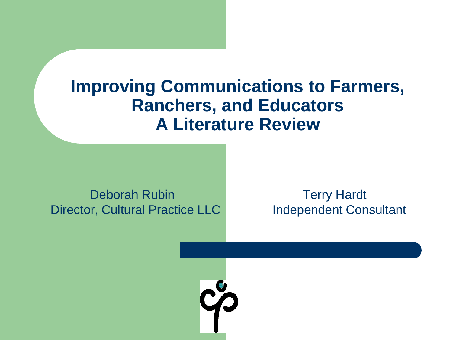#### **Improving Communications to Farmers, Ranchers, and Educators A Literature Review**

Deborah Rubin Terry Hardt Director, Cultural Practice LLC Independent Consultant

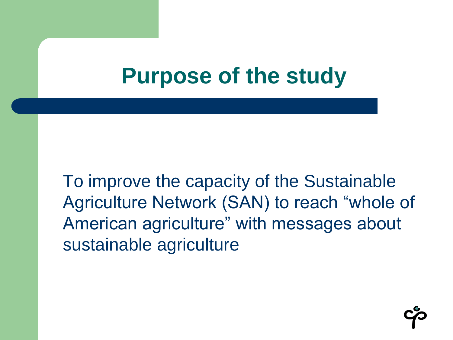### **Purpose of the study**

To improve the capacity of the Sustainable Agriculture Network (SAN) to reach "whole of American agriculture" with messages about sustainable agriculture

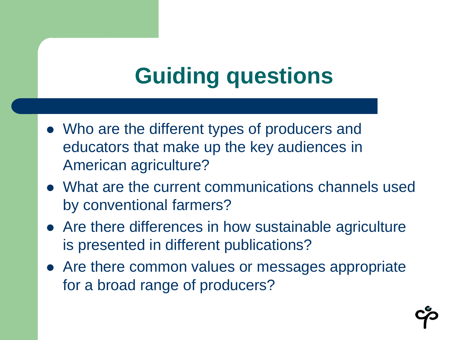# **Guiding questions**

- Who are the different types of producers and educators that make up the key audiences in American agriculture?
- What are the current communications channels used by conventional farmers?
- Are there differences in how sustainable agriculture is presented in different publications?
- Are there common values or messages appropriate for a broad range of producers?

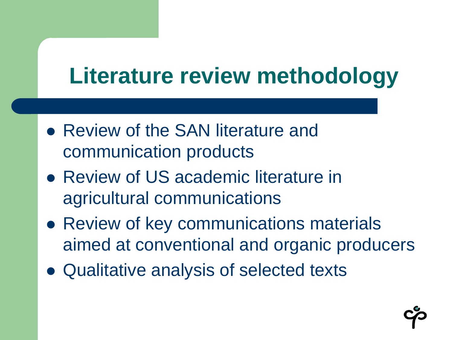# **Literature review methodology**

- Review of the SAN literature and communication products
- Review of US academic literature in agricultural communications
- Review of key communications materials aimed at conventional and organic producers
- Qualitative analysis of selected texts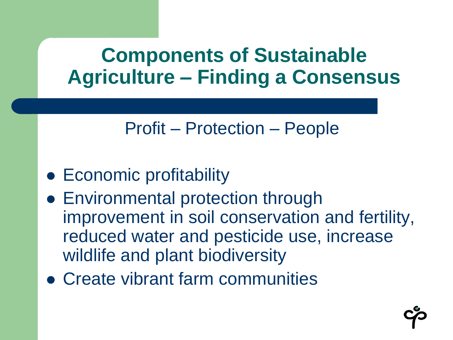### **Components of Sustainable Agriculture – Finding a Consensus**

#### Profit – Protection – People

- Economic profitability
- Environmental protection through improvement in soil conservation and fertility, reduced water and pesticide use, increase wildlife and plant biodiversity
- Create vibrant farm communities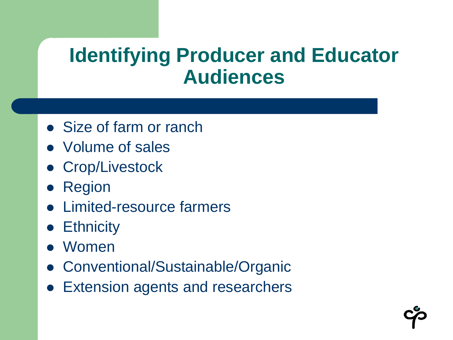### **Identifying Producer and Educator Audiences**

- Size of farm or ranch
- Volume of sales
- Crop/Livestock
- Region
- Limited-resource farmers
- **•** Ethnicity
- Women
- Conventional/Sustainable/Organic
- **Extension agents and researchers**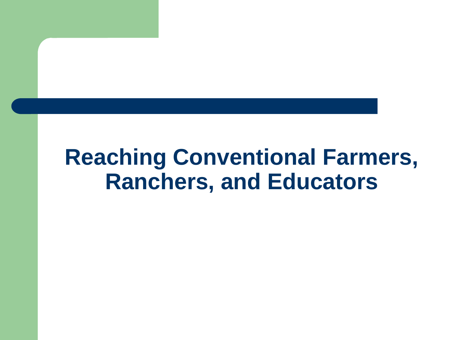### **Reaching Conventional Farmers, Ranchers, and Educators**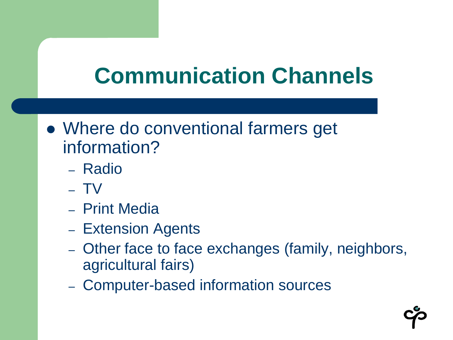# **Communication Channels**

- Where do conventional farmers get information?
	- Radio
	- TV
	- Print Media
	- Extension Agents
	- Other face to face exchanges (family, neighbors, agricultural fairs)
	- Computer-based information sources

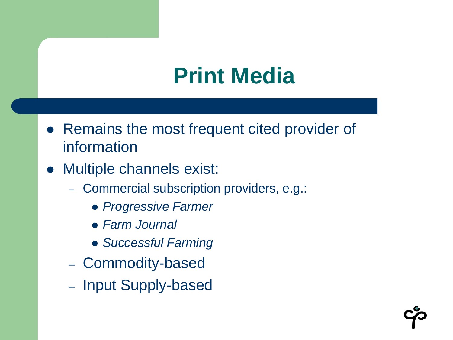## **Print Media**

- Remains the most frequent cited provider of information
- Multiple channels exist:
	- Commercial subscription providers, e.g.:
		- *Progressive Farmer*
		- *Farm Journal*
		- *Successful Farming*
	- Commodity-based
	- Input Supply-based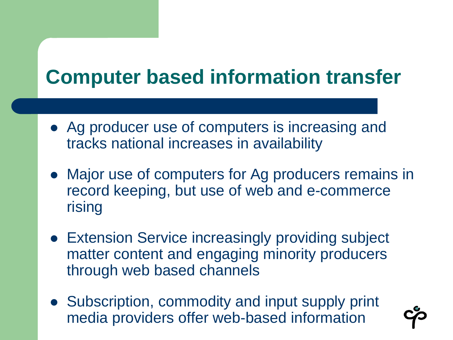### **Computer based information transfer**

- Ag producer use of computers is increasing and tracks national increases in availability
- Major use of computers for Ag producers remains in record keeping, but use of web and e-commerce rising
- Extension Service increasingly providing subject matter content and engaging minority producers through web based channels
- Subscription, commodity and input supply print media providers offer web-based information

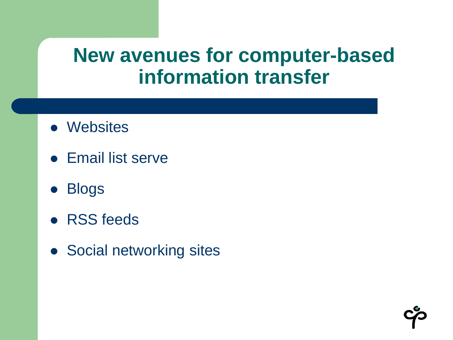#### **New avenues for computer-based information transfer**

- Websites
- **Email list serve**
- **Blogs**
- RSS feeds
- Social networking sites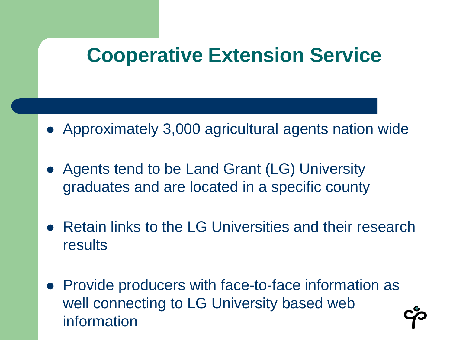### **Cooperative Extension Service**

- Approximately 3,000 agricultural agents nation wide
- Agents tend to be Land Grant (LG) University graduates and are located in a specific county
- Retain links to the LG Universities and their research results
- Provide producers with face-to-face information as well connecting to LG University based web information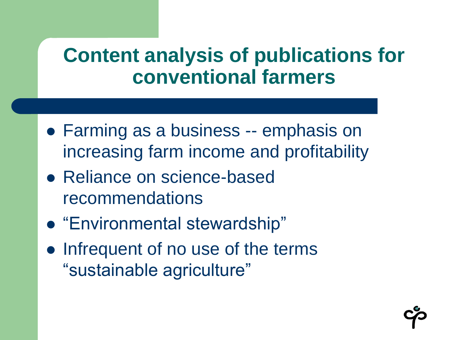### **Content analysis of publications for conventional farmers**

- Farming as a business -- emphasis on increasing farm income and profitability
- Reliance on science-based recommendations
- "Environmental stewardship"
- Infrequent of no use of the terms "sustainable agriculture"